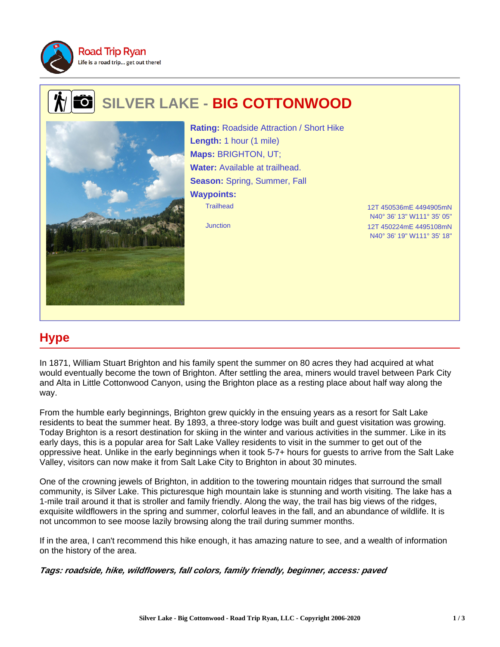

## **SILVER LAKE - BIG COTTONWOOD**  $\mathbf{o}$



Trailhead 12T 450536mE 4494905mN **Rating:** Roadside Attraction / Short Hike **Length:** 1 hour (1 mile) **Maps:** BRIGHTON, UT; **Water:** Available at trailhead. **Season:** Spring, Summer, Fall **Waypoints:**

N40° 36' 13" W111° 35' 05" Junction 12T 450224mE 4495108mN N40° 36' 19" W111° 35' 18"

## **Hype**

In 1871, William Stuart Brighton and his family spent the summer on 80 acres they had acquired at what would eventually become the town of Brighton. After settling the area, miners would travel between Park City and Alta in Little Cottonwood Canyon, using the Brighton place as a resting place about half way along the way.

From the humble early beginnings, Brighton grew quickly in the ensuing years as a resort for Salt Lake residents to beat the summer heat. By 1893, a three-story lodge was built and guest visitation was growing. Today Brighton is a resort destination for skiing in the winter and various activities in the summer. Like in its early days, this is a popular area for Salt Lake Valley residents to visit in the summer to get out of the oppressive heat. Unlike in the early beginnings when it took 5-7+ hours for guests to arrive from the Salt Lake Valley, visitors can now make it from Salt Lake City to Brighton in about 30 minutes.

One of the crowning jewels of Brighton, in addition to the towering mountain ridges that surround the small community, is Silver Lake. This picturesque high mountain lake is stunning and worth visiting. The lake has a 1-mile trail around it that is stroller and family friendly. Along the way, the trail has big views of the ridges, exquisite wildflowers in the spring and summer, colorful leaves in the fall, and an abundance of wildlife. It is not uncommon to see moose lazily browsing along the trail during summer months.

If in the area, I can't recommend this hike enough, it has amazing nature to see, and a wealth of information on the history of the area.

**Tags: roadside, hike, wildflowers, fall colors, family friendly, beginner, access: paved**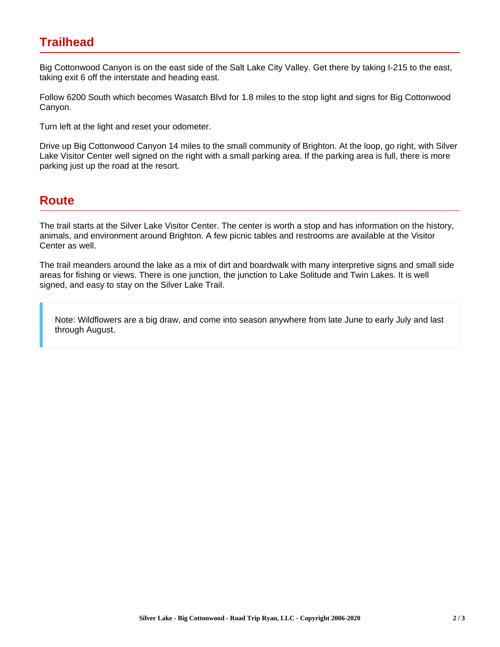## **Trailhead**

Big Cottonwood Canyon is on the east side of the Salt Lake City Valley. Get there by taking I-215 to the east, taking exit 6 off the interstate and heading east.

Follow 6200 South which becomes Wasatch Blvd for 1.8 miles to the stop light and signs for Big Cottonwood Canyon.

Turn left at the light and reset your odometer.

Drive up Big Cottonwood Canyon 14 miles to the small community of Brighton. At the loop, go right, with Silver Lake Visitor Center well signed on the right with a small parking area. If the parking area is full, there is more parking just up the road at the resort.

## **Route**

The trail starts at the Silver Lake Visitor Center. The center is worth a stop and has information on the history, animals, and environment around Brighton. A few picnic tables and restrooms are available at the Visitor Center as well.

The trail meanders around the lake as a mix of dirt and boardwalk with many interpretive signs and small side areas for fishing or views. There is one junction, the junction to Lake Solitude and Twin Lakes. It is well signed, and easy to stay on the Silver Lake Trail.

Note: Wildflowers are a big draw, and come into season anywhere from late June to early July and last through August.